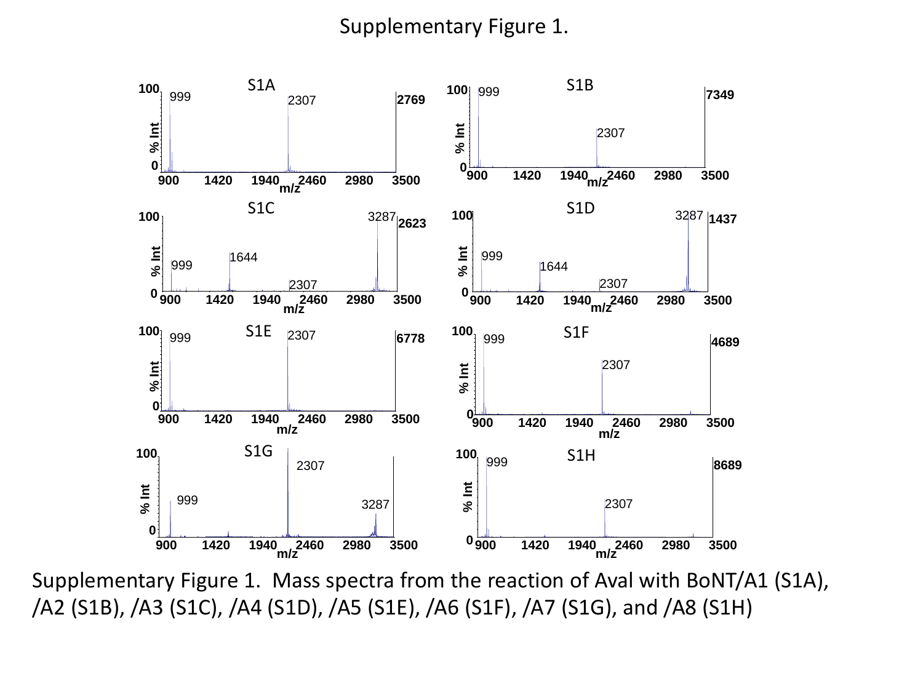## Supplementary Figure 1.



Supplementary Figure 1. Mass spectra from the reaction of Aval with BoNT/A1 (S1A), /A2 (S1B), /A3 (S1C), /A4 (S1D), /A5 (S1E), /A6 (S1F), /A7 (S1G), and /A8 (S1H)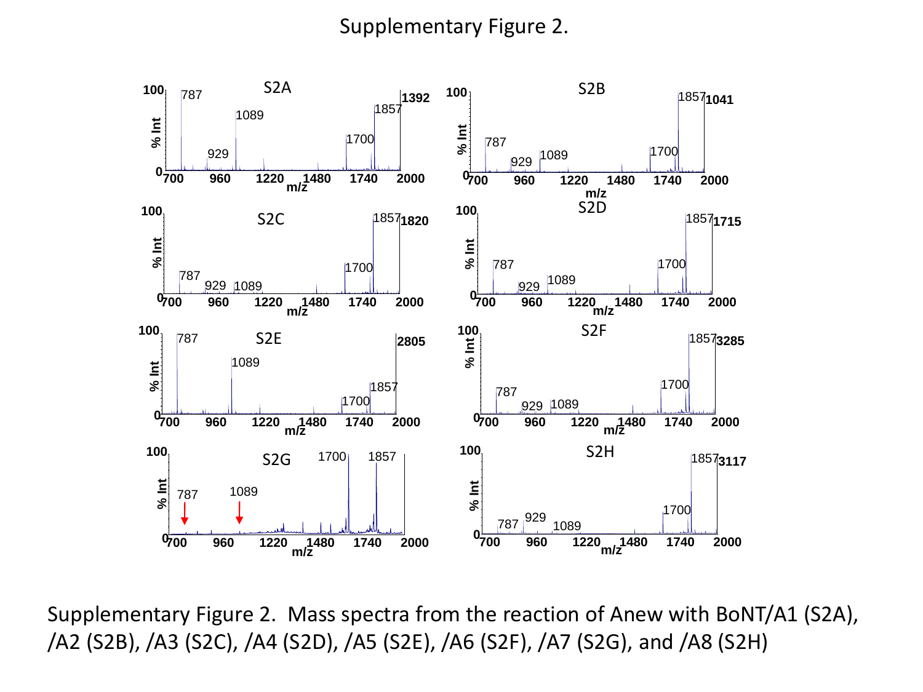## Supplementary Figure 2.



Supplementary Figure 2. Mass spectra from the reaction of Anew with BoNT/A1 (S2A),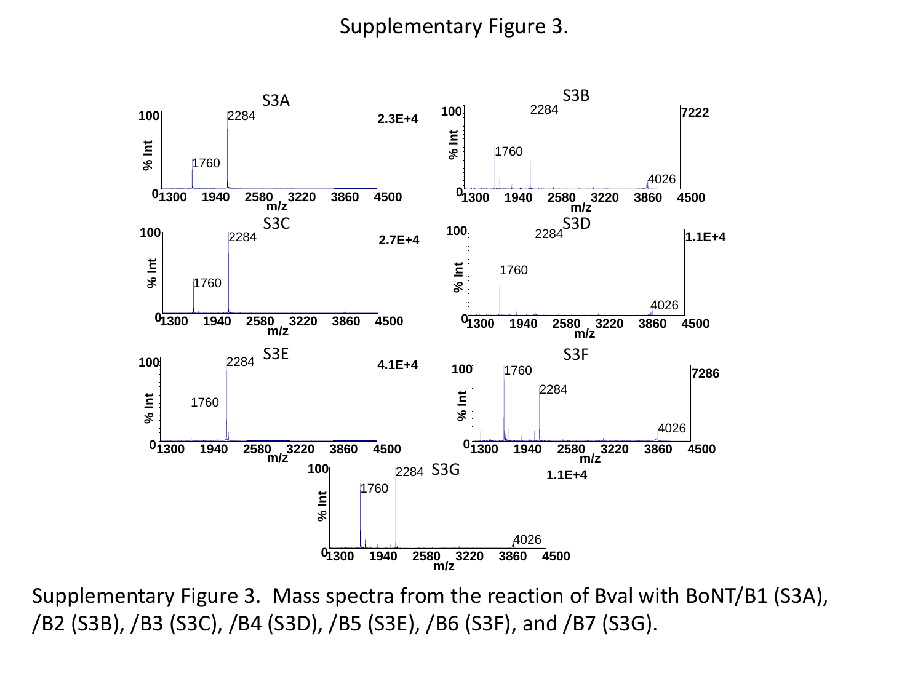## Supplementary Figure 3.



Supplementary Figure 3. Mass spectra from the reaction of Bval with BoNT/B1 (S3A), /B2 (S3B), /B3 (S3C), /B4 (S3D), /B5 (S3E), /B6 (S3F), and /B7 (S3G).